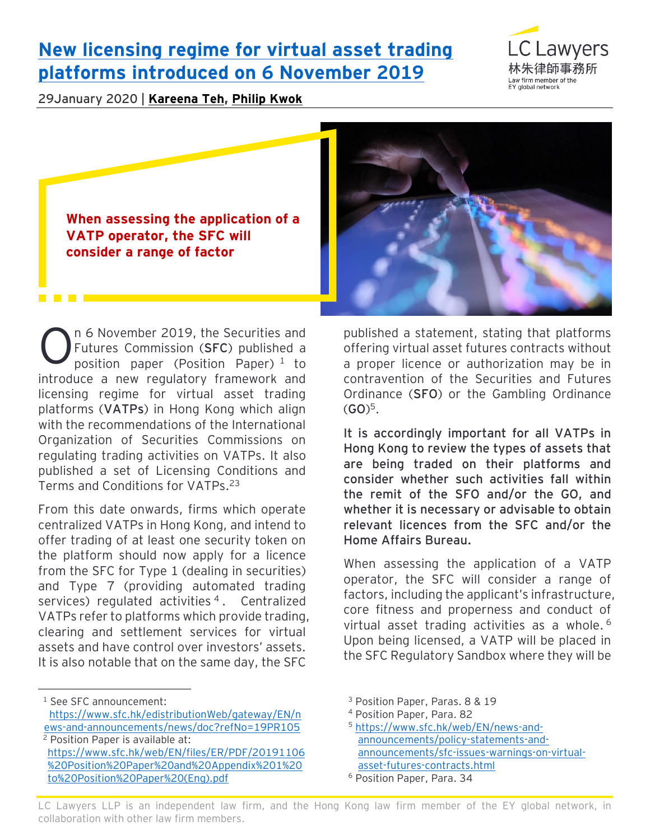## **[New licensing regime for virtual asset trading](https://www.eylaw.com.hk/en_hk/publications/our-latest-thinking/2020/jan/new-licensing-regime-for-virtual-asset-trading-platforms-introduced-on-6-november-2019)  platforms [introduced on 6 November 2019](https://www.eylaw.com.hk/en_hk/publications/our-latest-thinking/2020/jan/new-licensing-regime-for-virtual-asset-trading-platforms-introduced-on-6-november-2019)**



29January 2020 | **[Kareena Teh,](https://www.eylaw.com.hk/en_hk/people/kareena-teh) [Philip Kwok](https://www.eylaw.com.hk/en_hk/people/philip-kwok)**

**When assessing the application of a VATP operator, the SFC will consider a range of factor**



n 6 November 2019, the Securities and Futures Commission (**SFC**) published a position paper (Position Paper) 1 to introduce a new regulatory framework and licensing regime for virtual asset trading platforms (**VATPs**) in Hong Kong which align with the recommendations of the International Organization of Securities Commissions on regulating trading activities on VATPs. It also published a set of Licensing Conditions and Terms and Conditions for VATPs.<sup>23</sup> O

From this date onwards, firms which operate centralized VATPs in Hong Kong, and intend to offer trading of at least one security token on the platform should now apply for a licence from the SFC for Type 1 (dealing in securities) and Type 7 (providing automated trading services) regulated activities<sup>4</sup>. Centralized VATPs refer to platforms which provide trading, clearing and settlement services for virtual assets and have control over investors' assets. It is also notable that on the same day, the SFC

published a statement, stating that platforms offering virtual asset futures contracts without a proper licence or authorization may be in contravention of the Securities and Futures Ordinance (**SFO**) or the Gambling Ordinance  $(GO)^5$ .

**It is accordingly important for all VATPs in Hong Kong to review the types of assets that are being traded on their platforms and consider whether such activities fall within the remit of the SFO and/or the GO, and whether it is necessary or advisable to obtain relevant licences from the SFC and/or the Home Affairs Bureau.** 

When assessing the application of a VATP operator, the SFC will consider a range of factors, including the applicant's infrastructure, core fitness and properness and conduct of virtual asset trading activities as a whole. <sup>6</sup> Upon being licensed, a VATP will be placed in the SFC Regulatory Sandbox where they will be

<sup>&</sup>lt;sup>1</sup> See SFC announcement: [https://www.sfc.hk/edistributionWeb/gateway/EN/n](https://www.sfc.hk/edistributionWeb/gateway/EN/news-and-announcements/news/doc?refNo=19PR105) [ews-and-announcements/news/doc?refNo=19PR105](https://www.sfc.hk/edistributionWeb/gateway/EN/news-and-announcements/news/doc?refNo=19PR105) <sup>2</sup> Position Paper is available at:

[https://www.sfc.hk/web/EN/files/ER/PDF/20191106](https://www.sfc.hk/web/EN/files/ER/PDF/20191106%20Position%20Paper%20and%20Appendix%201%20to%20Position%20Paper%20(Eng).pdf) [%20Position%20Paper%20and%20Appendix%201%20](https://www.sfc.hk/web/EN/files/ER/PDF/20191106%20Position%20Paper%20and%20Appendix%201%20to%20Position%20Paper%20(Eng).pdf) [to%20Position%20Paper%20\(Eng\).pdf](https://www.sfc.hk/web/EN/files/ER/PDF/20191106%20Position%20Paper%20and%20Appendix%201%20to%20Position%20Paper%20(Eng).pdf)

<sup>3</sup> Position Paper, Paras. 8 & 19

<sup>4</sup> Position Paper, Para. 82

<sup>5</sup> [https://www.sfc.hk/web/EN/news-and](https://www.sfc.hk/web/EN/news-and-announcements/policy-statements-and-announcements/sfc-issues-warnings-on-virtual-asset-futures-contracts.html)[announcements/policy-statements-and](https://www.sfc.hk/web/EN/news-and-announcements/policy-statements-and-announcements/sfc-issues-warnings-on-virtual-asset-futures-contracts.html)[announcements/sfc-issues-warnings-on-virtual](https://www.sfc.hk/web/EN/news-and-announcements/policy-statements-and-announcements/sfc-issues-warnings-on-virtual-asset-futures-contracts.html)[asset-futures-contracts.html](https://www.sfc.hk/web/EN/news-and-announcements/policy-statements-and-announcements/sfc-issues-warnings-on-virtual-asset-futures-contracts.html)

<sup>6</sup> Position Paper, Para. 34

LC Lawyers LLP is an independent law firm, and the Hong Kong law firm member of the EY global network, in collaboration with other law firm members.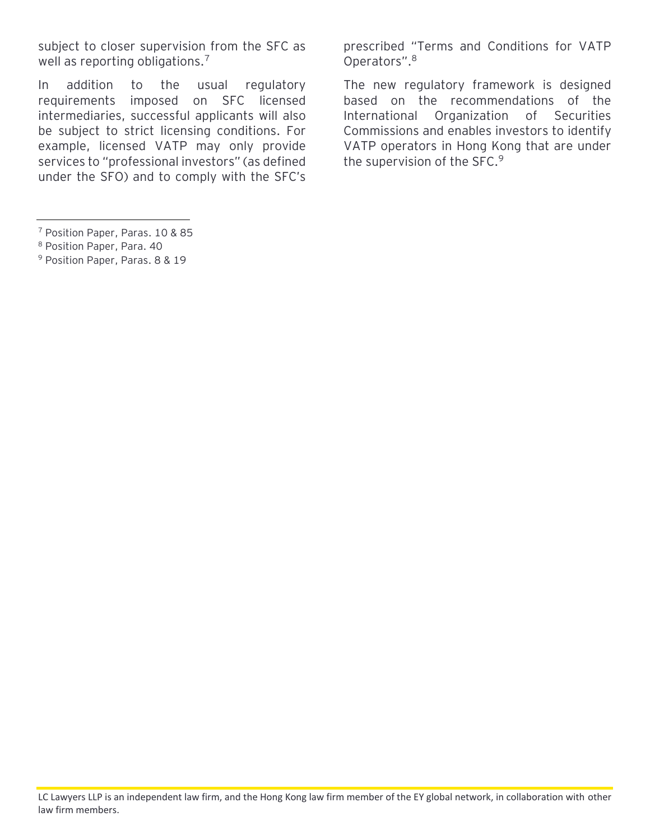subject to closer supervision from the SFC as well as reporting obligations.<sup>7</sup>

In addition to the usual regulatory requirements imposed on SFC licensed intermediaries, successful applicants will also be subject to strict licensing conditions. For example, licensed VATP may only provide services to "professional investors" (as defined under the SFO) and to comply with the SFC's

- <sup>7</sup> Position Paper, Paras. 10 & 85
- <sup>8</sup> Position Paper, Para. 40
- <sup>9</sup> Position Paper, Paras. 8 & 19

prescribed "Terms and Conditions for VATP Operators".<sup>8</sup>

The new regulatory framework is designed based on the recommendations of the International Organization of Securities Commissions and enables investors to identify VATP operators in Hong Kong that are under the supervision of the SFC.<sup>9</sup>